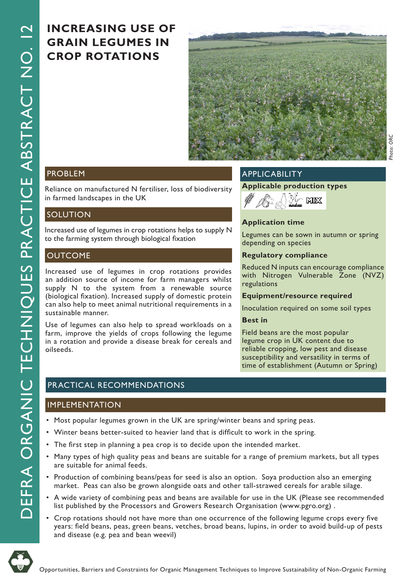# **INCREASING USE OF GRAIN LEGUMES IN CROP ROTATIONS**



## **PROBLEM**

Reliance on manufactured N fertiliser, loss of biodiversity in farmed landscapes in the UK

## **SOLUTION**

Increased use of legumes in crop rotations helps to supply N to the farming system through biological fixation

## **OUTCOME**

Increased use of legumes in crop rotations provides an addition source of income for farm managers whilst supply N to the system from a renewable source (biological fixation). Increased supply of domestic protein can also help to meet animal nutritional requirements in a sustainable manner.

Use of legumes can also help to spread workloads on a farm, improve the yields of crops following the legume in a rotation and provide a disease break for cereals and oilseeds.

## APPLICABILITY

**Applicable production types**



## **Application time**

Legumes can be sown in autumn or spring depending on species

#### **Regulatory compliance**

Reduced N inputs can encourage compliance with Nitrogen Vulnerable Zone (NVZ) regulations

#### **Equipment/resource required**

Inoculation required on some soil types

### **Best in**

Field beans are the most popular legume crop in UK content due to reliable cropping, low pest and disease susceptibility and versatility in terms of time of establishment (Autumn or Spring)

# PRACTICAL RECOMMENDATIONS

#### IMPLEMENTATION

- Most popular legumes grown in the UK are spring/winter beans and spring peas.
- Winter beans better-suited to heavier land that is difficult to work in the spring.
- The first step in planning a pea crop is to decide upon the intended market.
- Many types of high quality peas and beans are suitable for a range of premium markets, but all types are suitable for animal feeds.
- Production of combining beans/peas for seed is also an option. Soya production also an emerging market. Peas can also be grown alongside oats and other tall-strawed cereals for arable silage.
- A wide variety of combining peas and beans are available for use in the UK (Please see recommended list published by the Processors and Growers Research Organisation (www.pgro.org) .
- Crop rotations should not have more than one occurrence of the following legume crops every five years: field beans, peas, green beans, vetches, broad beans, lupins, in order to avoid build-up of pests and disease (e.g. pea and bean weevil)

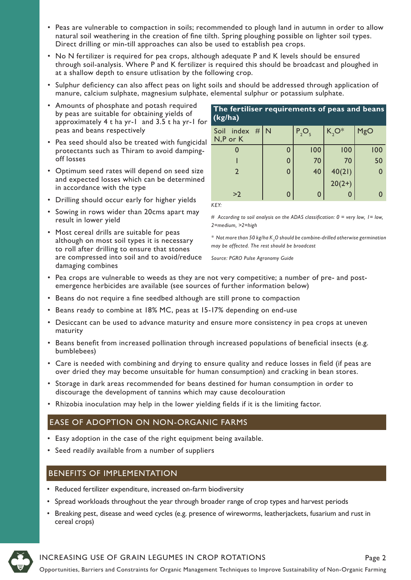- Peas are vulnerable to compaction in soils; recommended to plough land in autumn in order to allow natural soil weathering in the creation of fine tilth. Spring ploughing possible on lighter soil types. Direct drilling or min-till approaches can also be used to establish pea crops.
- No N fertilizer is required for pea crops, although adequate P and K levels should be ensured through soil-analysis. Where P and K fertilizer is required this should be broadcast and ploughed in at a shallow depth to ensure utlisation by the following crop.
- Sulphur deficiency can also affect peas on light soils and should be addressed through application of manure, calcium sulphate, magnesium sulphate, elemental sulphur or potassium sulphate.
- Amounts of phosphate and potash required by peas are suitable for obtaining yields of approximately 4 t ha yr-1 and 3.5 t ha yr-1 for peas and beans respectively
- Pea seed should also be treated with fungicidal protectants such as Thiram to avoid dampingoff losses
- Optimum seed rates will depend on seed size and expected losses which can be determined in accordance with the type
- Drilling should occur early for higher yields
- Sowing in rows wider than 20cms apart may result in lower yield
- Most cereal drills are suitable for peas although on most soil types it is necessary to roll after drilling to ensure that stones are compressed into soil and to avoid/reduce damaging combines

| The fertiliser requirements of peas and beans<br>(kg/ha) |   |       |          |              |  |  |  |
|----------------------------------------------------------|---|-------|----------|--------------|--|--|--|
| Soil index $\# N$<br>N,P or K                            |   | P, O, | $K, O^*$ | MgO          |  |  |  |
| 0                                                        | 0 | 100   | 100      | 100          |  |  |  |
|                                                          | 0 | 70    | 70       | 50           |  |  |  |
| $\mathfrak{D}$                                           | 0 | 40    | 40(21)   | $\mathbf{0}$ |  |  |  |
|                                                          |   |       | $20(2+)$ |              |  |  |  |
| >2                                                       |   | 0     |          |              |  |  |  |

*KEY:*

*# According to soil analysis on the ADAS classification: 0 = very low, 1= low, 2=medium, >2=high*

*\* Not more than 50 kg/ha K<sup>2</sup> O should be combine-drilled otherwise germination may be affected. The rest should be broadcast*

*Source: PGRO Pulse Agronomy Guide*

- Pea crops are vulnerable to weeds as they are not very competitive; a number of pre- and postemergence herbicides are available (see sources of further information below)
- Beans do not require a fine seedbed although are still prone to compaction
- Beans ready to combine at 18% MC, peas at 15-17% depending on end-use
- Desiccant can be used to advance maturity and ensure more consistency in pea crops at uneven maturity
- Beans benefit from increased pollination through increased populations of beneficial insects (e.g. bumblebees)
- Care is needed with combining and drying to ensure quality and reduce losses in field (if peas are over dried they may become unsuitable for human consumption) and cracking in bean stores.
- Storage in dark areas recommended for beans destined for human consumption in order to discourage the development of tannins which may cause decolouration
- Rhizobia inoculation may help in the lower yielding fields if it is the limiting factor.

## EASE OF ADOPTION ON NON-ORGANIC FARMS

- Easy adoption in the case of the right equipment being available.
- Seed readily available from a number of suppliers

## BENEFITS OF IMPLEMENTATION

- Reduced fertilizer expenditure, increased on-farm biodiversity
- Spread workloads throughout the year through broader range of crop types and harvest periods
- Breaking pest, disease and weed cycles (e.g. presence of wireworms, leatherjackets, fusarium and rust in cereal crops)



# INCREASING USE OF GRAIN LEGUMES IN CROP ROTATIONS Page 2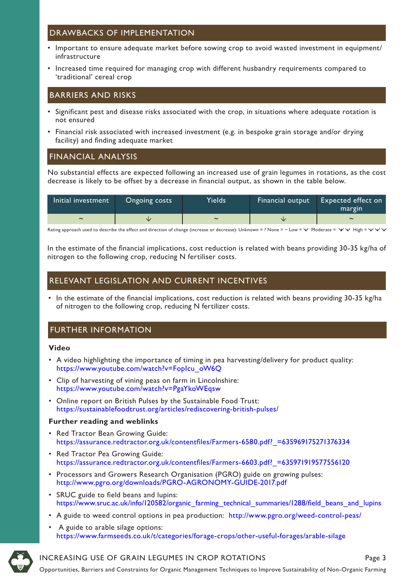## DRAWBACKS OF IMPLEMENTATION

- Important to ensure adequate market before sowing crop to avoid wasted investment in equipment/ infrastructure
- Increased time required for managing crop with different husbandry requirements compared to 'traditional' cereal crop

## BARRIERS AND RISKS

- Significant pest and disease risks associated with the crop, in situations where adequate rotation is not ensured
- Financial risk associated with increased investment (e.g. in bespoke grain storage and/or drying facility) and finding adequate market

## FINANCIAL ANALYSIS

No substantial effects are expected following an increased use of grain legumes in rotations, as the cost decrease is likely to be offset by a decrease in financial output, as shown in the table below.

| Initial investment    | Ongoing costs | Yields                | Financial output | <b>Expected effect on</b><br>margin |
|-----------------------|---------------|-----------------------|------------------|-------------------------------------|
| $\tilde{\phantom{a}}$ |               | $\tilde{\phantom{a}}$ | vz               | $\sim$                              |

Rating approach used to describe the effect and direction of change (increase or decrease): Unknown = ? None = ~ Low =  $\vee$  Moderate =  $\vee \vee$  High =  $\vee \vee \vee$ 

In the estimate of the financial implications, cost reduction is related with beans providing 30-35 kg/ha of nitrogen to the following crop, reducing N fertiliser costs.

## RELEVANT LEGISLATION AND CURRENT INCENTIVES

• In the estimate of the financial implications, cost reduction is related with beans providing 30-35 kg/ha of nitrogen to the following crop, reducing N fertilizer costs.

## FURTHER INFORMATION

#### **Video**

- A video highlighting the importance of timing in pea harvesting/delivery for product quality: https://www.youtube.com/watch?v=FopIcu\_oW6Q
- Clip of harvesting of vining peas on farm in Lincolnshire: https://www.youtube.com/watch?v=PgaYkoWEqsw
- Online report on British Pulses by the Sustainable Food Trust: https://sustainablefoodtrust.org/articles/rediscovering-british-pulses/

#### **Further reading and weblinks**

- Red Tractor Bean Growing Guide: https://assurance.redtractor.org.uk/contentfiles/Farmers-6580.pdf?\_=635969175271376334
- Red Tractor Pea Growing Guide: https://assurance.redtractor.org.uk/contentfiles/Farmers-6603.pdf?\_=635971919577556120
- Processors and Growers Research Organisation (PGRO) guide on growing pulses: http://www.pgro.org/downloads/PGRO-AGRONOMY-GUIDE-2017.pdf
- SRUC guide to field beans and lupins: https://www.sruc.ac.uk/info/120582/organic\_farming\_technical\_summaries/1288/field\_beans\_and\_lupins
- A guide to weed control options in pea production: http://www.pgro.org/weed-control-peas/
- A guide to arable silage options: https://www.farmseeds.co.uk/t/categories/forage-crops/other-useful-forages/arable-silage



### INCREASING USE OF GRAIN LEGUMES IN CROP ROTATIONS Page 3